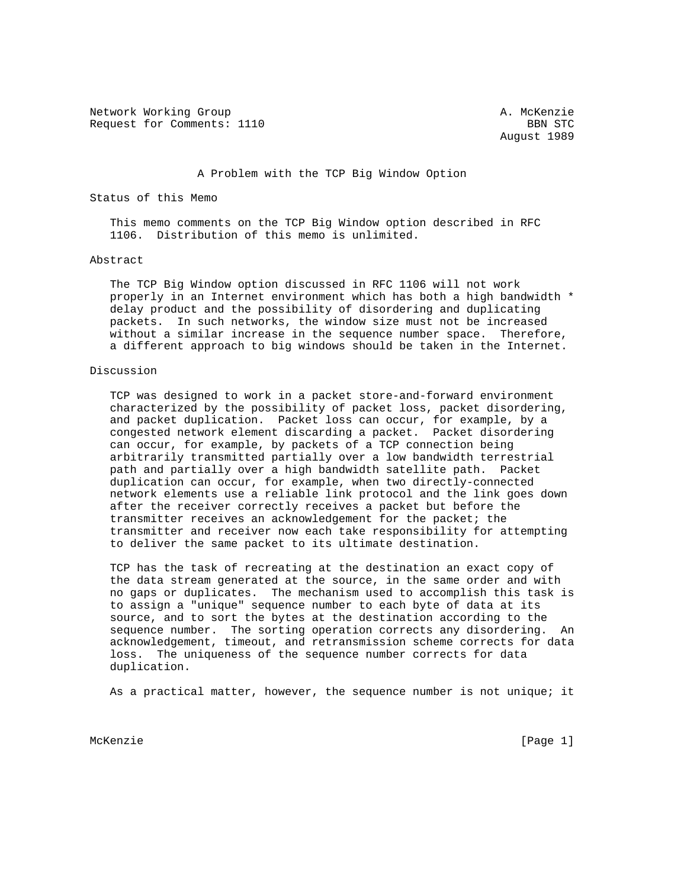Network Working Group and A. McKenzie Request for Comments: 1110 BBN STC

August 1989

## A Problem with the TCP Big Window Option

Status of this Memo

 This memo comments on the TCP Big Window option described in RFC 1106. Distribution of this memo is unlimited.

## Abstract

 The TCP Big Window option discussed in RFC 1106 will not work properly in an Internet environment which has both a high bandwidth \* delay product and the possibility of disordering and duplicating packets. In such networks, the window size must not be increased without a similar increase in the sequence number space. Therefore, a different approach to big windows should be taken in the Internet.

## Discussion

 TCP was designed to work in a packet store-and-forward environment characterized by the possibility of packet loss, packet disordering, and packet duplication. Packet loss can occur, for example, by a congested network element discarding a packet. Packet disordering can occur, for example, by packets of a TCP connection being arbitrarily transmitted partially over a low bandwidth terrestrial path and partially over a high bandwidth satellite path. Packet duplication can occur, for example, when two directly-connected network elements use a reliable link protocol and the link goes down after the receiver correctly receives a packet but before the transmitter receives an acknowledgement for the packet; the transmitter and receiver now each take responsibility for attempting to deliver the same packet to its ultimate destination.

 TCP has the task of recreating at the destination an exact copy of the data stream generated at the source, in the same order and with no gaps or duplicates. The mechanism used to accomplish this task is to assign a "unique" sequence number to each byte of data at its source, and to sort the bytes at the destination according to the sequence number. The sorting operation corrects any disordering. An acknowledgement, timeout, and retransmission scheme corrects for data loss. The uniqueness of the sequence number corrects for data duplication.

As a practical matter, however, the sequence number is not unique; it

McKenzie [Page 1]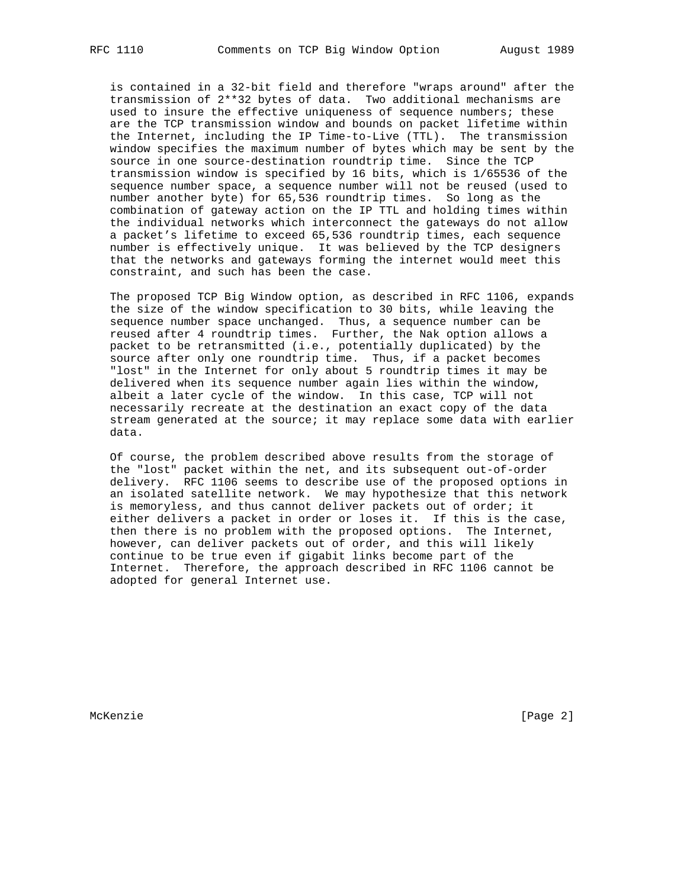is contained in a 32-bit field and therefore "wraps around" after the transmission of 2\*\*32 bytes of data. Two additional mechanisms are used to insure the effective uniqueness of sequence numbers; these are the TCP transmission window and bounds on packet lifetime within the Internet, including the IP Time-to-Live (TTL). The transmission window specifies the maximum number of bytes which may be sent by the source in one source-destination roundtrip time. Since the TCP transmission window is specified by 16 bits, which is 1/65536 of the sequence number space, a sequence number will not be reused (used to number another byte) for 65,536 roundtrip times. So long as the combination of gateway action on the IP TTL and holding times within the individual networks which interconnect the gateways do not allow a packet's lifetime to exceed 65,536 roundtrip times, each sequence number is effectively unique. It was believed by the TCP designers that the networks and gateways forming the internet would meet this constraint, and such has been the case.

 The proposed TCP Big Window option, as described in RFC 1106, expands the size of the window specification to 30 bits, while leaving the sequence number space unchanged. Thus, a sequence number can be reused after 4 roundtrip times. Further, the Nak option allows a packet to be retransmitted (i.e., potentially duplicated) by the source after only one roundtrip time. Thus, if a packet becomes "lost" in the Internet for only about 5 roundtrip times it may be delivered when its sequence number again lies within the window, albeit a later cycle of the window. In this case, TCP will not necessarily recreate at the destination an exact copy of the data stream generated at the source; it may replace some data with earlier data.

 Of course, the problem described above results from the storage of the "lost" packet within the net, and its subsequent out-of-order delivery. RFC 1106 seems to describe use of the proposed options in an isolated satellite network. We may hypothesize that this network is memoryless, and thus cannot deliver packets out of order; it either delivers a packet in order or loses it. If this is the case, then there is no problem with the proposed options. The Internet, however, can deliver packets out of order, and this will likely continue to be true even if gigabit links become part of the Internet. Therefore, the approach described in RFC 1106 cannot be adopted for general Internet use.

McKenzie [Page 2]